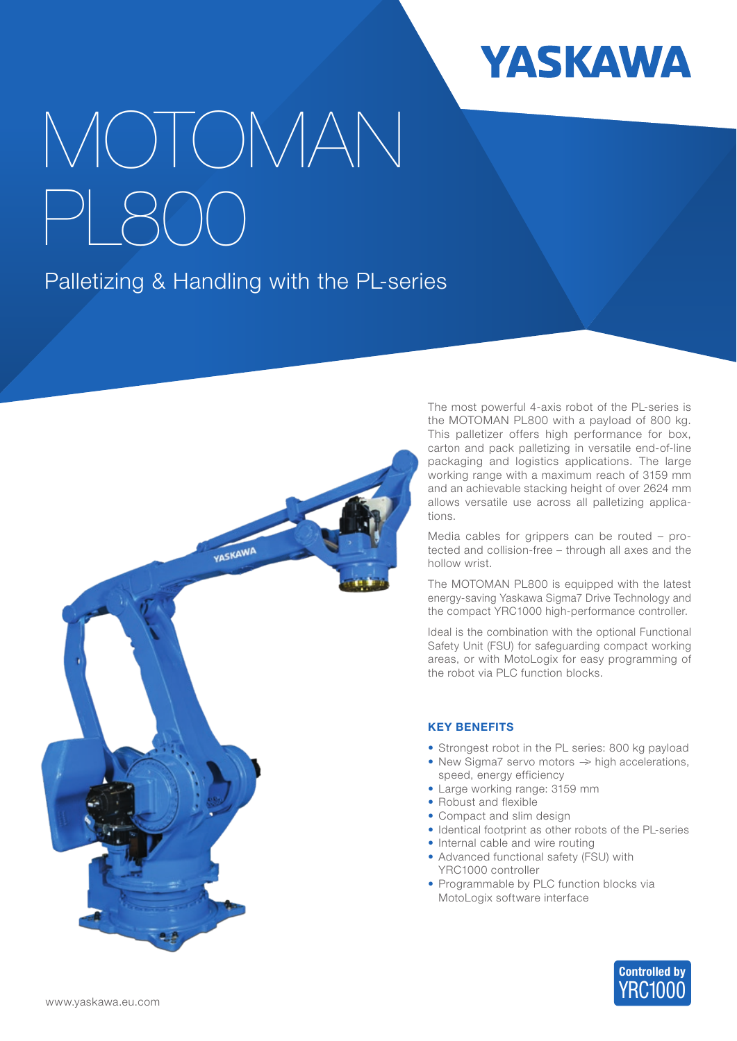

# MOTOMAN PL800

## Palletizing & Handling with the PL-series



The most powerful 4-axis robot of the PL-series is the MOTOMAN PL800 with a payload of 800 kg. This palletizer offers high performance for box, carton and pack palletizing in versatile end-of-line packaging and logistics applications. The large working range with a maximum reach of 3159 mm and an achievable stacking height of over 2624 mm allows versatile use across all palletizing applications.

Media cables for grippers can be routed – protected and collision-free – through all axes and the hollow wrist.

The MOTOMAN PL800 is equipped with the latest energy-saving Yaskawa Sigma7 Drive Technology and the compact YRC1000 high-performance controller.

Ideal is the combination with the optional Functional Safety Unit (FSU) for safeguarding compact working areas, or with MotoLogix for easy programming of the robot via PLC function blocks.

### KEY BENEFITS

- Strongest robot in the PL series: 800 kg payload
- New Sigma7 servo motors  $\Rightarrow$  high accelerations, speed, energy efficiency
- Large working range: 3159 mm
- Robust and flexible
- Compact and slim design
- Identical footprint as other robots of the PL-series
- Internal cable and wire routing
- Advanced functional safety (FSU) with YRC1000 controller
- Programmable by PLC function blocks via MotoLogix software interface